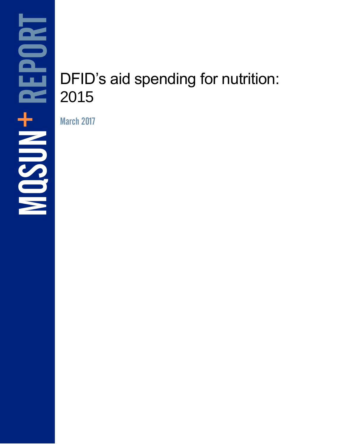# DFID's aid spending for nutrition: 2015

March 2017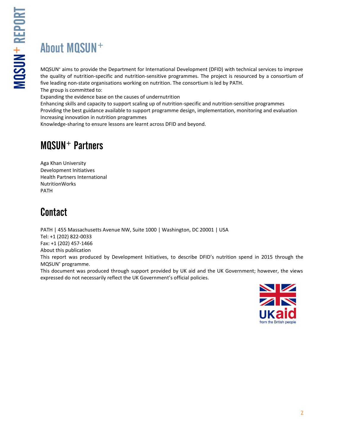MQSUN

+ REPORT

MQSUN<sup>+</sup> aims to provide the Department for International Development (DFID) with technical services to improve the quality of nutrition-specific and nutrition-sensitive programmes. The project is resourced by a consortium of five leading non-state organisations working on nutrition. The consortium is led by PATH. The group is committed to:

Expanding the evidence base on the causes of undernutrition

Enhancing skills and capacity to support scaling up of nutrition-specific and nutrition-sensitive programmes Providing the best guidance available to support programme design, implementation, monitoring and evaluation Increasing innovation in nutrition programmes

Knowledge-sharing to ensure lessons are learnt across DFID and beyond.

### MQSUN<sup>+</sup> Partners

Aga Khan University Development Initiatives Health Partners International NutritionWorks PATH

### **Contact**

PATH | 455 Massachusetts Avenue NW, Suite 1000 | Washington, DC 20001 | USA Tel: +1 (202) 822-0033 Fax: +1 (202) 457-1466 About this publication This report was produced by Development Initiatives, to describe DFID's nutrition spend in 2015 through the MQSUN<sup>+</sup> programme. This document was produced through support provided by UK aid and the UK Government; however, the views expressed do not necessarily reflect the UK Government's official policies.

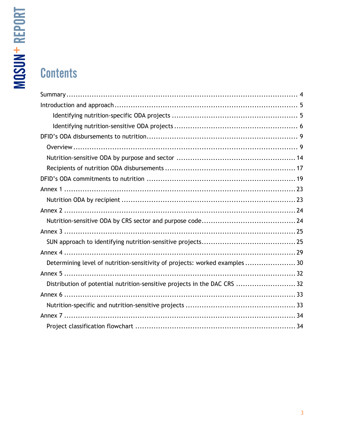# **Contents**

| Determining level of nutrition-sensitivity of projects: worked examples  30 |  |
|-----------------------------------------------------------------------------|--|
|                                                                             |  |
| Distribution of potential nutrition-sensitive projects in the DAC CRS  32   |  |
|                                                                             |  |
|                                                                             |  |
|                                                                             |  |
|                                                                             |  |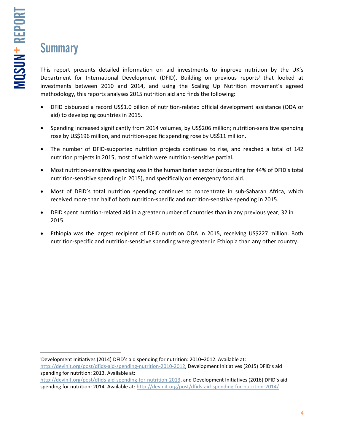# **Summary**

This report presents detailed information on aid investments to improve nutrition by the UK's Department for International Development (DFID). Building on previous reports<sup>i</sup> that looked at investments between 2010 and 2014, and using the Scaling Up Nutrition movement's agreed methodology, this reports analyses 2015 nutrition aid and finds the following:

- DFID disbursed a record US\$1.0 billion of nutrition-related official development assistance (ODA or aid) to developing countries in 2015.
- Spending increased significantly from 2014 volumes, by US\$206 million; nutrition-sensitive spending rose by US\$196 million, and nutrition-specific spending rose by US\$11 million.
- The number of DFID-supported nutrition projects continues to rise, and reached a total of 142 nutrition projects in 2015, most of which were nutrition-sensitive partial.
- Most nutrition-sensitive spending was in the humanitarian sector (accounting for 44% of DFID's total nutrition-sensitive spending in 2015), and specifically on emergency food aid.
- Most of DFID's total nutrition spending continues to concentrate in sub-Saharan Africa, which received more than half of both nutrition-specific and nutrition-sensitive spending in 2015.
- DFID spent nutrition-related aid in a greater number of countries than in any previous year, 32 in 2015.
- Ethiopia was the largest recipient of DFID nutrition ODA in 2015, receiving US\$227 million. Both nutrition-specific and nutrition-sensitive spending were greater in Ethiopia than any other country.

 $\overline{\phantom{a}}$ <sup>i</sup>Development Initiatives (2014) DFID's aid spending for nutrition: 2010–2012. Available at: <http://devinit.org/post/dfids-aid-spending-nutrition-2010-2012>, Development Initiatives (2015) DFID's aid spending for nutrition: 2013. Available at:

[http://devinit.org/post/dfids-aid-spending-for-nutrition-2013,](http://devinit.org/post/dfids-aid-spending-for-nutrition-2013) and Development Initiatives (2016) DFID's aid spending for nutrition: 2014. Available at:<http://devinit.org/post/dfids-aid-spending-for-nutrition-2014/>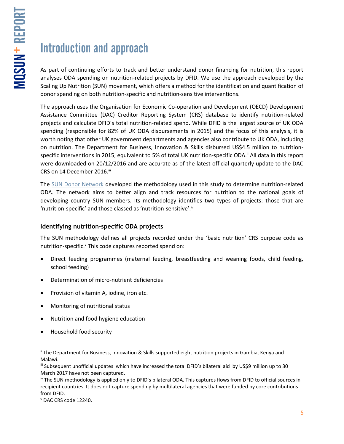# Introduction and approach

As part of continuing efforts to track and better understand donor financing for nutrition, this report analyses ODA spending on nutrition-related projects by DFID. We use the approach developed by the Scaling Up Nutrition (SUN) movement, which offers a method for the identification and quantification of donor spending on both nutrition-specific and nutrition-sensitive interventions.

The approach uses the Organisation for Economic Co-operation and Development (OECD) Development Assistance Committee (DAC) Creditor Reporting System (CRS) database to identify nutrition-related projects and calculate DFID's total nutrition-related spend. While DFID is the largest source of UK ODA spending (responsible for 82% of UK ODA disbursements in 2015) and the focus of this analysis, it is worth noting that other UK government departments and agencies also contribute to UK ODA, including on nutrition. The Department for Business, Innovation & Skills disbursed US\$4.5 million to nutritionspecific interventions in 2015, equivalent to 5% of total UK nutrition-specific ODA.<sup>ii</sup> All data in this report were downloaded on 20/12/2016 and are accurate as of the latest official quarterly update to the DAC CRS on 14 December 2016.<sup>iii</sup>

The [SUN Donor Network](http://scalingupnutrition.org/the-sun-network/donor-network) developed the methodology used in this study to determine nutrition-related ODA. The network aims to better align and track resources for nutrition to the national goals of developing country SUN members. Its methodology identifies two types of projects: those that are 'nutrition-specific' and those classed as 'nutrition-sensitive'. $N$ 

### **Identifying nutrition-specific ODA projects**

The SUN methodology defines all projects recorded under the 'basic nutrition' CRS purpose code as nutrition-specific.<sup>v</sup> This code captures reported spend on:

- Direct feeding programmes (maternal feeding, breastfeeding and weaning foods, child feeding, school feeding)
- Determination of micro-nutrient deficiencies
- Provision of vitamin A, iodine, iron etc.
- Monitoring of nutritional status
- Nutrition and food hygiene education
- Household food security

 $\overline{a}$ 

ii The Department for Business, Innovation & Skills supported eight nutrition projects in Gambia, Kenya and Malawi.

iii Subsequent unofficial updates which have increased the total DFID's bilateral aid by US\$9 million up to 30 March 2017 have not been captured.

iv The SUN methodology is applied only to DFID's bilateral ODA. This captures flows from DFID to official sources in recipient countries. It does not capture spending by multilateral agencies that were funded by core contributions from DFID.

<sup>v</sup> DAC CRS code 12240.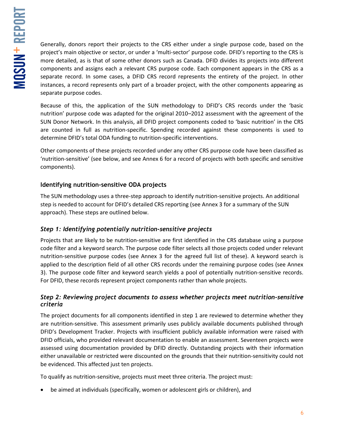Generally, donors report their projects to the CRS either under a single purpose code, based on the project's main objective or sector, or under a 'multi-sector' purpose code. DFID's reporting to the CRS is more detailed, as is that of some other donors such as Canada. DFID divides its projects into different components and assigns each a relevant CRS purpose code. Each component appears in the CRS as a separate record. In some cases, a DFID CRS record represents the entirety of the project. In other instances, a record represents only part of a broader project, with the other components appearing as separate purpose codes.

Because of this, the application of the SUN methodology to DFID's CRS records under the 'basic nutrition' purpose code was adapted for the original 2010–2012 assessment with the agreement of the SUN Donor Network. In this analysis, all DFID project components coded to 'basic nutrition' in the CRS are counted in full as nutrition-specific. Spending recorded against these components is used to determine DFID's total ODA funding to nutrition-specific interventions.

Other components of these projects recorded under any other CRS purpose code have been classified as 'nutrition-sensitive' (see below, and see Annex 6 for a record of projects with both specific and sensitive components).

### **Identifying nutrition-sensitive ODA projects**

The SUN methodology uses a three-step approach to identify nutrition-sensitive projects. An additional step is needed to account for DFID's detailed CRS reporting (see Annex 3 for a summary of the SUN approach). These steps are outlined below.

### *Step 1: Identifying potentially nutrition-sensitive projects*

Projects that are likely to be nutrition-sensitive are first identified in the CRS database using a purpose code filter and a keyword search. The purpose code filter selects all those projects coded under relevant nutrition-sensitive purpose codes (see Annex 3 for the agreed full list of these). A keyword search is applied to the description field of all other CRS records under the remaining purpose codes (see Annex 3). The purpose code filter and keyword search yields a pool of potentially nutrition-sensitive records. For DFID, these records represent project components rather than whole projects.

### *Step 2: Reviewing project documents to assess whether projects meet nutrition-sensitive criteria*

The project documents for all components identified in step 1 are reviewed to determine whether they are nutrition-sensitive. This assessment primarily uses publicly available documents published through DFID's Development Tracker. Projects with insufficient publicly available information were raised with DFID officials, who provided relevant documentation to enable an assessment. Seventeen projects were assessed using documentation provided by DFID directly. Outstanding projects with their information either unavailable or restricted were discounted on the grounds that their nutrition-sensitivity could not be evidenced. This affected just ten projects.

To qualify as nutrition-sensitive, projects must meet three criteria. The project must:

• be aimed at individuals (specifically, women or adolescent girls or children), and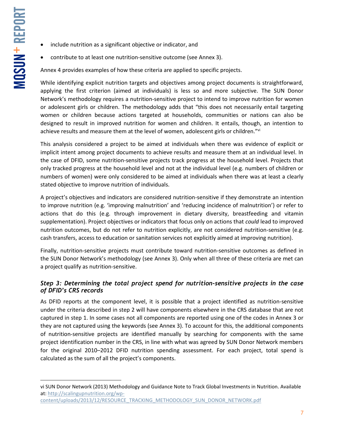$\overline{a}$ 

- include nutrition as a significant objective or indicator, and
- contribute to at least one nutrition-sensitive outcome (see Annex 3).

Annex 4 provides examples of how these criteria are applied to specific projects.

While identifying explicit nutrition targets and objectives among project documents is straightforward, applying the first criterion (aimed at individuals) is less so and more subjective. The SUN Donor Network's methodology requires a nutrition-sensitive project to intend to improve nutrition for women or adolescent girls or children. The methodology adds that "this does not necessarily entail targeting women or children because actions targeted at households, communities or nations can also be designed to result in improved nutrition for women and children. It entails, though, an intention to achieve results and measure them at the level of women, adolescent girls or children."<sup>vi</sup>

This analysis considered a project to be aimed at individuals when there was evidence of explicit or implicit intent among project documents to achieve results and measure them at an individual level. In the case of DFID, some nutrition-sensitive projects track progress at the household level. Projects that only tracked progress at the household level and not at the individual level (e.g. numbers of children or numbers of women) were only considered to be aimed at individuals when there was at least a clearly stated objective to improve nutrition of individuals.

A project's objectives and indicators are considered nutrition-sensitive if they demonstrate an intention to improve nutrition (e.g. 'improving malnutrition' and 'reducing incidence of malnutrition') or refer to actions that do this (e.g. through improvement in dietary diversity, breastfeeding and vitamin supplementation). Project objectives or indicators that focus only on actions that *could* lead to improved nutrition outcomes, but do not refer to nutrition explicitly, are not considered nutrition-sensitive (e.g. cash transfers, access to education or sanitation services not explicitly aimed at improving nutrition).

Finally, nutrition-sensitive projects must contribute toward nutrition-sensitive outcomes as defined in the SUN Donor Network's methodology (see Annex 3). Only when all three of these criteria are met can a project qualify as nutrition-sensitive.

### *Step 3: Determining the total project spend for nutrition-sensitive projects in the case of DFID's CRS records*

As DFID reports at the component level, it is possible that a project identified as nutrition-sensitive under the criteria described in step 2 will have components elsewhere in the CRS database that are not captured in step 1. In some cases not all components are reported using one of the codes in Annex 3 or they are not captured using the keywords (see Annex 3). To account for this, the additional components of nutrition-sensitive projects are identified manually by searching for components with the same project identification number in the CRS, in line with what was agreed by SUN Donor Network members for the original 2010–2012 DFID nutrition spending assessment. For each project, total spend is calculated as the sum of all the project's components.

vi SUN Donor Network (2013) Methodology and Guidance Note to Track Global Investments in Nutrition. Available at: [http://scalingupnutrition.org/wp-](http://scalingupnutrition.org/wp-content/uploads/2013/12/RESOURCE_TRACKING_METHODOLOGY_SUN_DONOR_NETWORK.pdf)

[content/uploads/2013/12/RESOURCE\\_TRACKING\\_METHODOLOGY\\_SUN\\_DONOR\\_NETWORK.pdf](http://scalingupnutrition.org/wp-content/uploads/2013/12/RESOURCE_TRACKING_METHODOLOGY_SUN_DONOR_NETWORK.pdf)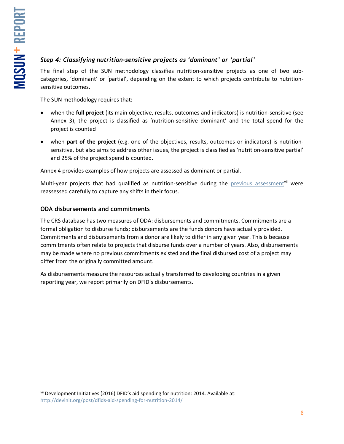### *Step 4: Classifying nutrition-sensitive projects as 'dominant' or 'partial'*

The final step of the SUN methodology classifies nutrition-sensitive projects as one of two subcategories, 'dominant' or 'partial', depending on the extent to which projects contribute to nutritionsensitive outcomes.

The SUN methodology requires that:

- when the **full project** (its main objective, results, outcomes and indicators) is nutrition-sensitive (see Annex 3), the project is classified as 'nutrition-sensitive dominant' and the total spend for the project is counted
- when **part of the project** (e.g. one of the objectives, results, outcomes or indicators) is nutritionsensitive, but also aims to address other issues, the project is classified as 'nutrition-sensitive partial' and 25% of the project spend is counted.

Annex 4 provides examples of how projects are assessed as dominant or partial.

Multi-year projects that had qualified as nutrition-sensitive during the [previous assessment](http://devinit.org/post/dfids-aid-spending-for-nutrition-2014/)<sup>vii</sup> were reassessed carefully to capture any shifts in their focus.

### **ODA disbursements and commitments**

The CRS database has two measures of ODA: disbursements and commitments. Commitments are a formal obligation to disburse funds; disbursements are the funds donors have actually provided. Commitments and disbursements from a donor are likely to differ in any given year. This is because commitments often relate to projects that disburse funds over a number of years. Also, disbursements may be made where no previous commitments existed and the final disbursed cost of a project may differ from the originally committed amount.

As disbursements measure the resources actually transferred to developing countries in a given reporting year, we report primarily on DFID's disbursements.

 $\overline{\phantom{a}}$ vii Development Initiatives (2016) DFID's aid spending for nutrition: 2014. Available at: <http://devinit.org/post/dfids-aid-spending-for-nutrition-2014/>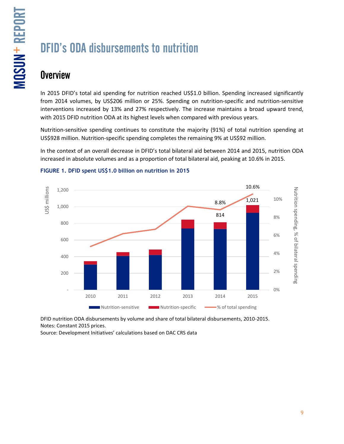# DFID's ODA disbursements to nutrition

### **Overview**

In 2015 DFID's total aid spending for nutrition reached US\$1.0 billion. Spending increased significantly from 2014 volumes, by US\$206 million or 25%. Spending on nutrition-specific and nutrition-sensitive interventions increased by 13% and 27% respectively. The increase maintains a broad upward trend, with 2015 DFID nutrition ODA at its highest levels when compared with previous years.

Nutrition-sensitive spending continues to constitute the majority (91%) of total nutrition spending at US\$928 million. Nutrition-specific spending completes the remaining 9% at US\$92 million.

In the context of an overall decrease in DFID's total bilateral aid between 2014 and 2015, nutrition ODA increased in absolute volumes and as a proportion of total bilateral aid, peaking at 10.6% in 2015.



#### **FIGURE 1. DFID spent US\$1.0 billion on nutrition in 2015**

DFID nutrition ODA disbursements by volume and share of total bilateral disbursements, 2010-2015. Notes: Constant 2015 prices.

Source: Development Initiatives' calculations based on DAC CRS data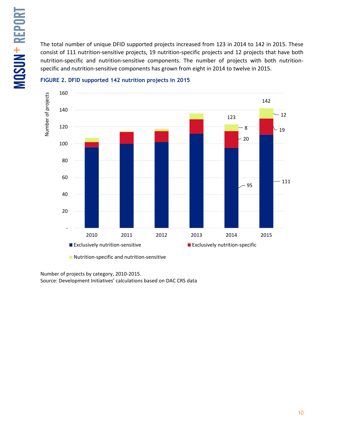The total number of unique DFID supported projects increased from 123 in 2014 to 142 in 2015. These consist of 111 nutrition-sensitive projects, 19 nutrition-specific projects and 12 projects that have both nutrition-specific and nutrition-sensitive components. The number of projects with both nutritionspecific and nutrition-sensitive components has grown from eight in 2014 to twelve in 2015.



#### **FIGURE 2. DFID supported 142 nutrition projects in 2015**

Number of projects by category, 2010-2015. Source: Development Initiatives' calculations based on DAC CRS data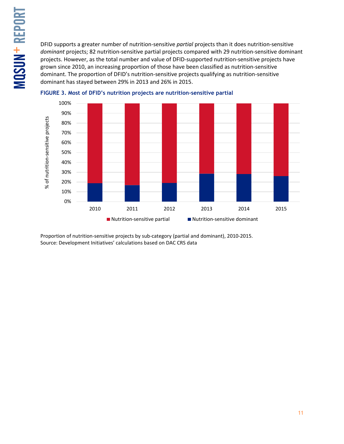DFID supports a greater number of nutrition-sensitive *partial* projects than it does nutrition-sensitive *dominant* projects; 82 nutrition-sensitive partial projects compared with 29 nutrition-sensitive dominant projects. However, as the total number and value of DFID-supported nutrition-sensitive projects have grown since 2010, an increasing proportion of those have been classified as nutrition-sensitive dominant. The proportion of DFID's nutrition-sensitive projects qualifying as nutrition-sensitive dominant has stayed between 29% in 2013 and 26% in 2015.





Proportion of nutrition-sensitive projects by sub-category (partial and dominant), 2010-2015. Source: Development Initiatives' calculations based on DAC CRS data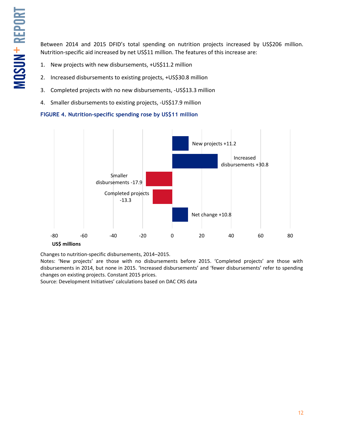Between 2014 and 2015 DFID's total spending on nutrition projects increased by US\$206 million. Nutrition-specific aid increased by net US\$11 million. The features of this increase are:

- 1. New projects with new disbursements, +US\$11.2 million
- 2. Increased disbursements to existing projects, +US\$30.8 million
- 3. Completed projects with no new disbursements, -US\$13.3 million
- 4. Smaller disbursements to existing projects, -US\$17.9 million

**FIGURE 4. Nutrition-specific spending rose by US\$11 million**



Changes to nutrition-specific disbursements, 2014–2015.

Notes: 'New projects' are those with no disbursements before 2015. 'Completed projects' are those with disbursements in 2014, but none in 2015. 'Increased disbursements' and 'fewer disbursements' refer to spending changes on existing projects. Constant 2015 prices.

Source: Development Initiatives' calculations based on DAC CRS data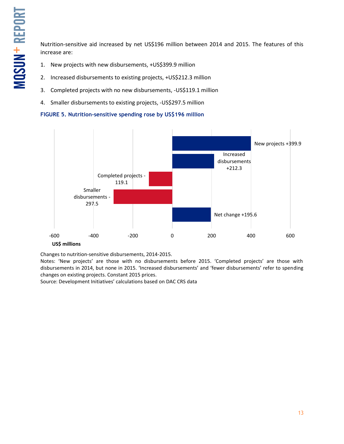Nutrition-sensitive aid increased by net US\$196 million between 2014 and 2015. The features of this increase are:

- 1. New projects with new disbursements, +US\$399.9 million
- 2. Increased disbursements to existing projects, +US\$212.3 million
- 3. Completed projects with no new disbursements, -US\$119.1 million
- 4. Smaller disbursements to existing projects, -US\$297.5 million

**FIGURE 5. Nutrition-sensitive spending rose by US\$196 million**



Changes to nutrition-sensitive disbursements, 2014-2015.

Notes: 'New projects' are those with no disbursements before 2015. 'Completed projects' are those with disbursements in 2014, but none in 2015. 'Increased disbursements' and 'fewer disbursements' refer to spending changes on existing projects. Constant 2015 prices.

Source: Development Initiatives' calculations based on DAC CRS data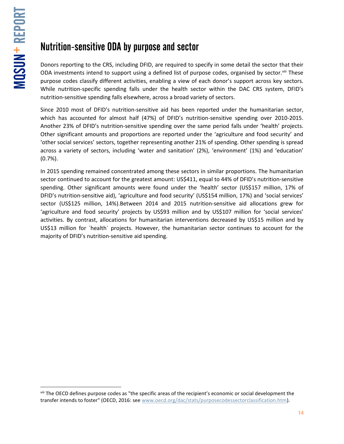$\overline{\phantom{a}}$ 

# Nutrition-sensitive ODA by purpose and sector

Donors reporting to the CRS, including DFID, are required to specify in some detail the sector that their ODA investments intend to support using a defined list of purpose codes, organised by sector. Viii These purpose codes classify different activities, enabling a view of each donor's support across key sectors. While nutrition-specific spending falls under the health sector within the DAC CRS system, DFID's nutrition-sensitive spending falls elsewhere, across a broad variety of sectors.

Since 2010 most of DFID's nutrition-sensitive aid has been reported under the humanitarian sector, which has accounted for almost half (47%) of DFID's nutrition-sensitive spending over 2010-2015. Another 23% of DFID's nutrition-sensitive spending over the same period falls under 'health' projects. Other significant amounts and proportions are reported under the 'agriculture and food security' and 'other social services' sectors, together representing another 21% of spending. Other spending is spread across a variety of sectors, including 'water and sanitation' (2%), 'environment' (1%) and 'education' (0.7%).

In 2015 spending remained concentrated among these sectors in similar proportions. The humanitarian sector continued to account for the greatest amount: US\$411, equal to 44% of DFID's nutrition-sensitive spending. Other significant amounts were found under the 'health' sector (US\$157 million, 17% of DFID's nutrition-sensitive aid), 'agriculture and food security' (US\$154 million, 17%) and 'social services' sector (US\$125 million, 14%).Between 2014 and 2015 nutrition-sensitive aid allocations grew for 'agriculture and food security' projects by US\$93 million and by US\$107 million for 'social services' activities. By contrast, allocations for humanitarian interventions decreased by US\$15 million and by US\$13 million for `health` projects. However, the humanitarian sector continues to account for the majority of DFID's nutrition-sensitive aid spending.

viii The OECD defines purpose codes as "the specific areas of the recipient's economic or social development the transfer intends to foster" (OECD, 2016: se[e www.oecd.org/dac/stats/purposecodessectorclassification.htm\)](http://www.oecd.org/dac/stats/purposecodessectorclassification.htm).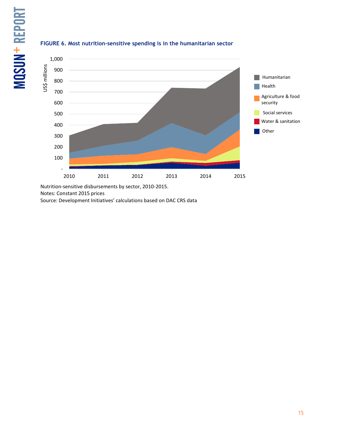

#### **FIGURE 6. Most nutrition-sensitive spending is in the humanitarian sector**

Nutrition-sensitive disbursements by sector, 2010-2015.

Notes: Constant 2015 prices

Source: Development Initiatives' calculations based on DAC CRS data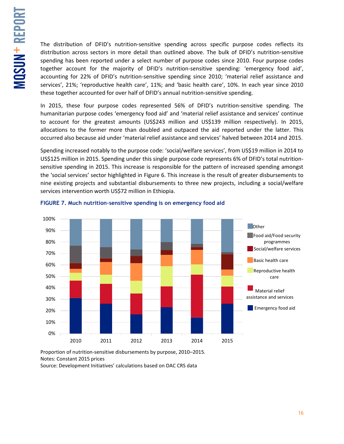The distribution of DFID's nutrition-sensitive spending across specific purpose codes reflects its distribution across sectors in more detail than outlined above. The bulk of DFID's nutrition-sensitive spending has been reported under a select number of purpose codes since 2010. Four purpose codes together account for the majority of DFID's nutrition-sensitive spending: 'emergency food aid', accounting for 22% of DFID's nutrition-sensitive spending since 2010; 'material relief assistance and services', 21%; 'reproductive health care', 11%; and 'basic health care', 10%. In each year since 2010 these together accounted for over half of DFID's annual nutrition-sensitive spending.

In 2015, these four purpose codes represented 56% of DFID's nutrition-sensitive spending. The humanitarian purpose codes 'emergency food aid' and 'material relief assistance and services' continue to account for the greatest amounts (US\$243 million and US\$139 million respectively). In 2015, allocations to the former more than doubled and outpaced the aid reported under the latter. This occurred also because aid under 'material relief assistance and services' halved between 2014 and 2015.

Spending increased notably to the purpose code: 'social/welfare services', from US\$19 million in 2014 to US\$125 million in 2015. Spending under this single purpose code represents 6% of DFID's total nutritionsensitive spending in 2015. This increase is responsible for the pattern of increased spending amongst the 'social services' sector highlighted in Figure 6. This increase is the result of greater disbursements to nine existing projects and substantial disbursements to three new projects, including a social/welfare services intervention worth US\$72 million in Ethiopia.



#### **FIGURE 7. Much nutrition-sensitive spending is on emergency food aid**

Proportion of nutrition-sensitive disbursements by purpose, 2010–2015. Notes: Constant 2015 prices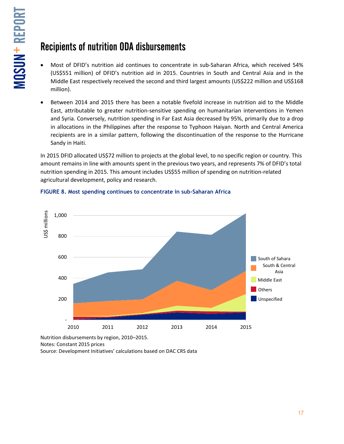### Recipients of nutrition ODA disbursements

- Most of DFID's nutrition aid continues to concentrate in sub-Saharan Africa, which received 54% (US\$551 million) of DFID's nutrition aid in 2015. Countries in South and Central Asia and in the Middle East respectively received the second and third largest amounts (US\$222 million and US\$168 million).
- Between 2014 and 2015 there has been a notable fivefold increase in nutrition aid to the Middle East, attributable to greater nutrition-sensitive spending on humanitarian interventions in Yemen and Syria. Conversely, nutrition spending in Far East Asia decreased by 95%, primarily due to a drop in allocations in the Philippines after the response to Typhoon Haiyan. North and Central America recipients are in a similar pattern, following the discontinuation of the response to the Hurricane Sandy in Haiti.

In 2015 DFID allocated US\$72 million to projects at the global level, to no specific region or country. This amount remains in line with amounts spent in the previous two years, and represents 7% of DFID's total nutrition spending in 2015. This amount includes US\$55 million of spending on nutrition-related agricultural development, policy and research.



### **FIGURE 8. Most spending continues to concentrate in sub-Saharan Africa**

Nutrition disbursements by region, 2010–2015. Notes: Constant 2015 prices

Source: Development Initiatives' calculations based on DAC CRS data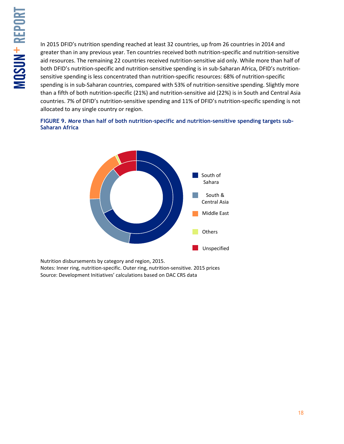In 2015 DFID's nutrition spending reached at least 32 countries, up from 26 countries in 2014 and greater than in any previous year. Ten countries received both nutrition-specific and nutrition-sensitive aid resources. The remaining 22 countries received nutrition-sensitive aid only. While more than half of both DFID's nutrition-specific and nutrition-sensitive spending is in sub-Saharan Africa, DFID's nutritionsensitive spending is less concentrated than nutrition-specific resources: 68% of nutrition-specific spending is in sub-Saharan countries, compared with 53% of nutrition-sensitive spending. Slightly more than a fifth of both nutrition-specific (21%) and nutrition-sensitive aid (22%) is in South and Central Asia countries. 7% of DFID's nutrition-sensitive spending and 11% of DFID's nutrition-specific spending is not allocated to any single country or region.

#### **FIGURE 9. More than half of both nutrition-specific and nutrition-sensitive spending targets sub-Saharan Africa**



Nutrition disbursements by category and region, 2015.

Notes: Inner ring, nutrition-specific. Outer ring, nutrition-sensitive. 2015 prices Source: Development Initiatives' calculations based on DAC CRS data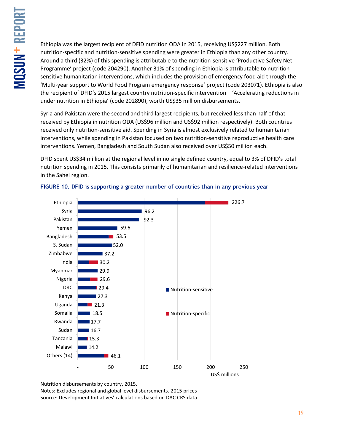Ethiopia was the largest recipient of DFID nutrition ODA in 2015, receiving US\$227 million. Both nutrition-specific and nutrition-sensitive spending were greater in Ethiopia than any other country. Around a third (32%) of this spending is attributable to the nutrition-sensitive 'Productive Safety Net Programme' project (code 204290). Another 31% of spending in Ethiopia is attributable to nutritionsensitive humanitarian interventions, which includes the provision of emergency food aid through the 'Multi-year support to World Food Program emergency response' project (code 203071). Ethiopia is also the recipient of DFID's 2015 largest country nutrition-specific intervention – 'Accelerating reductions in under nutrition in Ethiopia' (code 202890), worth US\$35 million disbursements.

Syria and Pakistan were the second and third largest recipients, but received less than half of that received by Ethiopia in nutrition ODA (US\$96 million and US\$92 million respectively). Both countries received only nutrition-sensitive aid. Spending in Syria is almost exclusively related to humanitarian interventions, while spending in Pakistan focused on two nutrition-sensitive reproductive health care interventions. Yemen, Bangladesh and South Sudan also received over US\$50 million each.

DFID spent US\$34 million at the regional level in no single defined country, equal to 3% of DFID's total nutrition spending in 2015. This consists primarily of humanitarian and resilience-related interventions in the Sahel region.



### **FIGURE 10. DFID is supporting a greater number of countries than in any previous year**

Nutrition disbursements by country, 2015.

Notes: Excludes regional and global level disbursements. 2015 prices Source: Development Initiatives' calculations based on DAC CRS data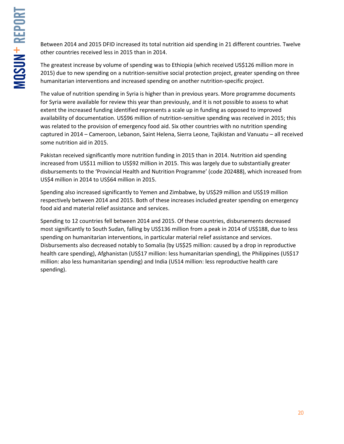Between 2014 and 2015 DFID increased its total nutrition aid spending in 21 different countries. Twelve other countries received less in 2015 than in 2014.

The greatest increase by volume of spending was to Ethiopia (which received US\$126 million more in 2015) due to new spending on a nutrition-sensitive social protection project, greater spending on three humanitarian interventions and increased spending on another nutrition-specific project.

The value of nutrition spending in Syria is higher than in previous years. More programme documents for Syria were available for review this year than previously, and it is not possible to assess to what extent the increased funding identified represents a scale up in funding as opposed to improved availability of documentation. US\$96 million of nutrition-sensitive spending was received in 2015; this was related to the provision of emergency food aid. Six other countries with no nutrition spending captured in 2014 – Cameroon, Lebanon, Saint Helena, Sierra Leone, Tajikistan and Vanuatu – all received some nutrition aid in 2015.

Pakistan received significantly more nutrition funding in 2015 than in 2014. Nutrition aid spending increased from US\$11 million to US\$92 million in 2015. This was largely due to substantially greater disbursements to the 'Provincial Health and Nutrition Programme' (code 202488), which increased from US\$4 million in 2014 to US\$64 million in 2015.

Spending also increased significantly to Yemen and Zimbabwe, by US\$29 million and US\$19 million respectively between 2014 and 2015. Both of these increases included greater spending on emergency food aid and material relief assistance and services.

Spending to 12 countries fell between 2014 and 2015. Of these countries, disbursements decreased most significantly to South Sudan, falling by US\$136 million from a peak in 2014 of US\$188, due to less spending on humanitarian interventions, in particular material relief assistance and services. Disbursements also decreased notably to Somalia (by US\$25 million: caused by a drop in reproductive health care spending), Afghanistan (US\$17 million: less humanitarian spending), the Philippines (US\$17 million: also less humanitarian spending) and India (US14 million: less reproductive health care spending).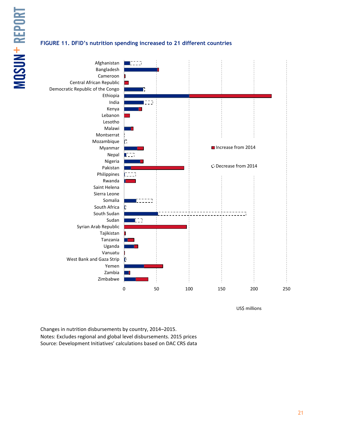# MQSUN + REPORT -

#### **FIGURE 11. DFID's nutrition spending increased to 21 different countries**



US\$ millions

Changes in nutrition disbursements by country, 2014–2015. Notes: Excludes regional and global level disbursements. 2015 prices Source: Development Initiatives' calculations based on DAC CRS data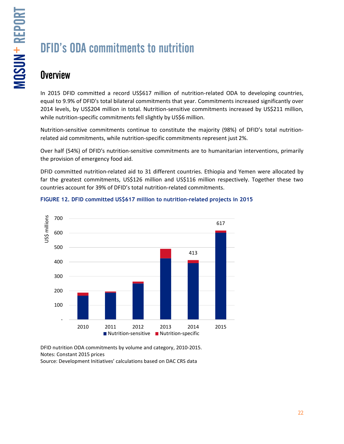# DFID's ODA commitments to nutrition

### **Overview**

In 2015 DFID committed a record US\$617 million of nutrition-related ODA to developing countries, equal to 9.9% of DFID's total bilateral commitments that year. Commitments increased significantly over 2014 levels, by US\$204 million in total. Nutrition-sensitive commitments increased by US\$211 million, while nutrition-specific commitments fell slightly by US\$6 million.

Nutrition-sensitive commitments continue to constitute the majority (98%) of DFID's total nutritionrelated aid commitments, while nutrition-specific commitments represent just 2%.

Over half (54%) of DFID's nutrition-sensitive commitments are to humanitarian interventions, primarily the provision of emergency food aid.

DFID committed nutrition-related aid to 31 different countries. Ethiopia and Yemen were allocated by far the greatest commitments, US\$126 million and US\$116 million respectively. Together these two countries account for 39% of DFID's total nutrition-related commitments.



### **FIGURE 12. DFID committed US\$617 million to nutrition-related projects in 2015**

DFID nutrition ODA commitments by volume and category, 2010-2015. Notes: Constant 2015 prices Source: Development Initiatives' calculations based on DAC CRS data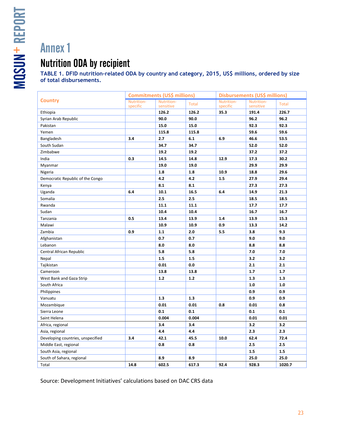### Nutrition ODA by recipient

**TABLE 1. DFID nutrition-related ODA by country and category, 2015, US\$ millions, ordered by size of total disbursements.**

|                                   | <b>Commitments (US\$ millions)</b> |                         |              | Disbursements (US\$ millions) |                         |        |
|-----------------------------------|------------------------------------|-------------------------|--------------|-------------------------------|-------------------------|--------|
| <b>Country</b>                    | Nutrition-<br>specific             | Nutrition-<br>sensitive | <b>Total</b> | Nutrition-<br>specific        | Nutrition-<br>sensitive | Total  |
| Ethiopia                          |                                    | 126.2                   | 126.2        | 35.3                          | 191.4                   | 226.7  |
| Syrian Arab Republic              |                                    | 90.0                    | 90.0         |                               | 96.2                    | 96.2   |
| Pakistan                          |                                    | 15.0                    | 15.0         |                               | 92.3                    | 92.3   |
| Yemen                             |                                    | 115.8                   | 115.8        |                               | 59.6                    | 59.6   |
| Bangladesh                        | 3.4                                | 2.7                     | 6.1          | 6.9                           | 46.6                    | 53.5   |
| South Sudan                       |                                    | 34.7                    | 34.7         |                               | 52.0                    | 52.0   |
| Zimbabwe                          |                                    | 19.2                    | 19.2         |                               | 37.2                    | 37.2   |
| India                             | 0.3                                | 14.5                    | 14.8         | 12.9                          | 17.3                    | 30.2   |
| Myanmar                           |                                    | 19.0                    | 19.0         |                               | 29.9                    | 29.9   |
| Nigeria                           |                                    | 1.8                     | 1.8          | 10.9                          | 18.8                    | 29.6   |
| Democratic Republic of the Congo  |                                    | 4.2                     | 4.2          | 1.5                           | 27.9                    | 29.4   |
| Kenya                             |                                    | 8.1                     | 8.1          |                               | 27.3                    | 27.3   |
| Uganda                            | 6.4                                | 10.1                    | 16.5         | 6.4                           | 14.9                    | 21.3   |
| Somalia                           |                                    | 2.5                     | 2.5          |                               | 18.5                    | 18.5   |
| Rwanda                            |                                    | 11.1                    | 11.1         |                               | 17.7                    | 17.7   |
| Sudan                             |                                    | 10.4                    | 10.4         |                               | 16.7                    | 16.7   |
| Tanzania                          | 0.5                                | 13.4                    | 13.9         | 1.4                           | 13.9                    | 15.3   |
| Malawi                            |                                    | 10.9                    | 10.9         | 0.9                           | 13.3                    | 14.2   |
| Zambia                            | 0.9                                | 1.1                     | 2.0          | 5.5                           | 3.8                     | 9.3    |
| Afghanistan                       |                                    | 0.7                     | 0.7          |                               | 9.0                     | 9.0    |
| Lebanon                           |                                    | 8.0                     | 8.0          |                               | 8.8                     | 8.8    |
| Central African Republic          |                                    | 5.8                     | 5.8          |                               | 7.0                     | 7.0    |
| Nepal                             |                                    | 1.5                     | 1.5          |                               | 3.2                     | 3.2    |
| Tajikistan                        |                                    | 0.01                    | 0.0          |                               | 2.1                     | 2.1    |
| Cameroon                          |                                    | 13.8                    | 13.8         |                               | 1.7                     | 1.7    |
| West Bank and Gaza Strip          |                                    | 1.2                     | $1.2$        |                               | 1.3                     | 1.3    |
| South Africa                      |                                    |                         |              |                               | 1.0                     | 1.0    |
| Philippines                       |                                    |                         |              |                               | 0.9                     | 0.9    |
| Vanuatu                           |                                    | 1.3                     | 1.3          |                               | 0.9                     | 0.9    |
| Mozambique                        |                                    | 0.01                    | 0.01         | 0.8                           | 0.01                    | 0.8    |
| Sierra Leone                      |                                    | 0.1                     | 0.1          |                               | 0.1                     | 0.1    |
| Saint Helena                      |                                    | 0.004                   | 0.004        |                               | 0.01                    | 0.01   |
| Africa, regional                  |                                    | 3.4                     | 3.4          |                               | 3.2                     | 3.2    |
| Asia, regional                    |                                    | 4.4                     | 4.4          |                               | 2.3                     | 2.3    |
| Developing countries, unspecified | 3.4                                | 42.1                    | 45.5         | 10.0                          | 62.4                    | 72.4   |
| Middle East, regional             |                                    | 0.8                     | 0.8          |                               | 2.5                     | 2.5    |
| South Asia, regional              |                                    |                         |              |                               | 1.5                     | 1.5    |
| South of Sahara, regional         |                                    | 8.9                     | 8.9          |                               | 25.0                    | 25.0   |
| Total                             | 14.8                               | 602.5                   | 617.3        | 92.4                          | 928.3                   | 1020.7 |

Source: Development Initiatives' calculations based on DAC CRS data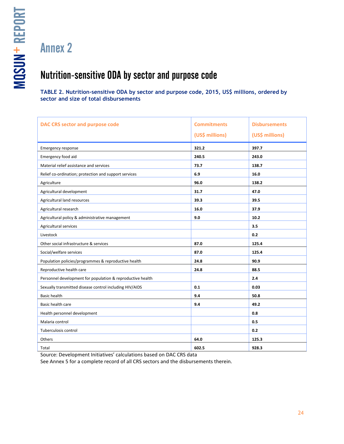### Nutrition-sensitive ODA by sector and purpose code

**TABLE 2. Nutrition-sensitive ODA by sector and purpose code, 2015, US\$ millions, ordered by sector and size of total disbursements**

| <b>DAC CRS sector and purpose code</b>                     | <b>Commitments</b><br>(US\$ millions) | <b>Disbursements</b><br>(US\$ millions) |
|------------------------------------------------------------|---------------------------------------|-----------------------------------------|
| Emergency response                                         | 321.2                                 | 397.7                                   |
| Emergency food aid                                         | 240.5                                 | 243.0                                   |
| Material relief assistance and services                    | 73.7                                  | 138.7                                   |
| Relief co-ordination; protection and support services      | 6.9                                   | 16.0                                    |
| Agriculture                                                | 96.0                                  | 138.2                                   |
| Agricultural development                                   | 31.7                                  | 47.0                                    |
| Agricultural land resources                                | 39.3                                  | 39.5                                    |
| Agricultural research                                      | 16.0                                  | 37.9                                    |
| Agricultural policy & administrative management            | 9.0                                   | 10.2                                    |
| Agricultural services                                      |                                       | 3.5                                     |
| Livestock                                                  |                                       | 0.2                                     |
| Other social infrastructure & services                     | 87.0                                  | 125.4                                   |
| Social/welfare services                                    | 87.0                                  | 125.4                                   |
| Population policies/programmes & reproductive health       | 24.8                                  | 90.9                                    |
| Reproductive health care                                   | 24.8                                  | 88.5                                    |
| Personnel development for population & reproductive health |                                       | 2.4                                     |
| Sexually transmitted disease control including HIV/AIDS    | 0.1                                   | 0.03                                    |
| <b>Basic health</b>                                        | 9.4                                   | 50.8                                    |
| Basic health care                                          | 9.4                                   | 49.2                                    |
| Health personnel development                               |                                       | 0.8                                     |
| Malaria control                                            |                                       | 0.5                                     |
| Tuberculosis control                                       |                                       | 0.2                                     |
| Others                                                     | 64.0                                  | 125.3                                   |
| Total                                                      | 602.5                                 | 928.3                                   |

Source: Development Initiatives' calculations based on DAC CRS data

See Annex 5 for a complete record of all CRS sectors and the disbursements therein.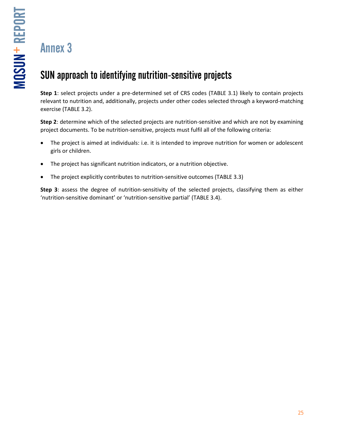# SUN approach to identifying nutrition-sensitive projects

**Step 1**: select projects under a pre-determined set of CRS codes (TABLE 3.1) likely to contain projects relevant to nutrition and, additionally, projects under other codes selected through a keyword-matching exercise (TABLE 3.2).

**Step 2**: determine which of the selected projects are nutrition-sensitive and which are not by examining project documents. To be nutrition-sensitive, projects must fulfil all of the following criteria:

- The project is aimed at individuals: i.e. it is intended to improve nutrition for women or adolescent girls or children.
- The project has significant nutrition indicators, or a nutrition objective.
- The project explicitly contributes to nutrition-sensitive outcomes (TABLE 3.3)

**Step 3**: assess the degree of nutrition-sensitivity of the selected projects, classifying them as either 'nutrition-sensitive dominant' or 'nutrition-sensitive partial' (TABLE 3.4).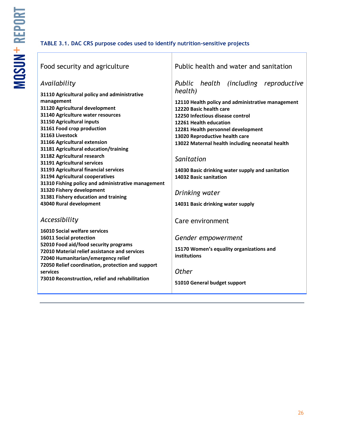### **TABLE 3.1. DAC CRS purpose codes used to identify nutrition-sensitive projects**

| Food security and agriculture                                                                                                                                                                                                                                                                                                                                                                                                                                                                                                                                                                            | Public health and water and sanitation                                                                                                                                                                                                                                                                                                                                                                                                                                       |  |  |
|----------------------------------------------------------------------------------------------------------------------------------------------------------------------------------------------------------------------------------------------------------------------------------------------------------------------------------------------------------------------------------------------------------------------------------------------------------------------------------------------------------------------------------------------------------------------------------------------------------|------------------------------------------------------------------------------------------------------------------------------------------------------------------------------------------------------------------------------------------------------------------------------------------------------------------------------------------------------------------------------------------------------------------------------------------------------------------------------|--|--|
| Availability<br>31110 Agricultural policy and administrative<br>management<br>31120 Agricultural development<br>31140 Agriculture water resources<br>31150 Agricultural inputs<br>31161 Food crop production<br>31163 Livestock<br>31166 Agricultural extension<br>31181 Agricultural education/training<br>31182 Agricultural research<br>31191 Agricultural services<br>31193 Agricultural financial services<br>31194 Agricultural cooperatives<br>31310 Fishing policy and administrative management<br>31320 Fishery development<br>31381 Fishery education and training<br>43040 Rural development | Public health (including reproductive<br>health)<br>12110 Health policy and administrative management<br>12220 Basic health care<br>12250 Infectious disease control<br>12261 Health education<br>12281 Health personnel development<br>13020 Reproductive health care<br>13022 Maternal health including neonatal health<br>Sanitation<br>14030 Basic drinking water supply and sanitation<br>14032 Basic sanitation<br>Drinking water<br>14031 Basic drinking water supply |  |  |
| Accessibility<br>16010 Social welfare services<br>16011 Social protection<br>52010 Food aid/food security programs<br>72010 Material relief assistance and services<br>72040 Humanitarian/emergency relief<br>72050 Relief coordination, protection and support<br>services<br>73010 Reconstruction, relief and rehabilitation                                                                                                                                                                                                                                                                           | Care environment<br>Gender empowerment<br>15170 Women's equality organizations and<br>institutions<br><b>Other</b><br>51010 General budget support                                                                                                                                                                                                                                                                                                                           |  |  |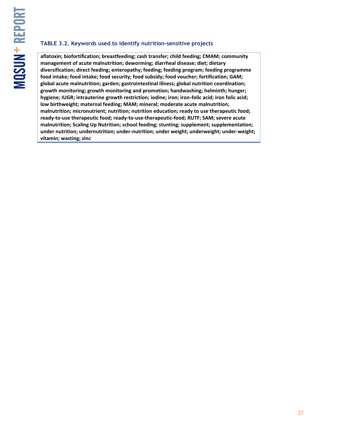#### **TABLE 3.2. Keywords used to identify nutrition-sensitive projects**

**aflatoxin; biofortification; breastfeeding; cash transfer; child feeding; CMAM; community management of acute malnutrition; deworming; diarrheal disease; diet; dietary diversification; direct feeding; enteropathy; feeding; feeding program; feeding programme food intake; food intake; food security; food subsidy; food voucher; fortification; GAM; global acute malnutrition; garden; gastrointestinal illness; global nutrition coordination; growth monitoring; growth monitoring and promotion; handwashing; helminth; hunger; hygiene; IUGR; intrauterine growth restriction; iodine; iron; iron-folic acid; iron folic acid; low birthweight; maternal feeding; MAM; mineral; moderate acute malnutrition; malnutrition; micronutrient; nutrition; nutrition education; ready to use therapeutic food; ready-to-use therapeutic food; ready-to-use-therapeutic-food; RUTF; SAM; severe acute malnutrition; Scaling Up Nutrition; school feeding; stunting; supplement; supplementation; under nutrition; undernutrition; under-nutrition; under weight; underweight; under-weight; vitamin; wasting; zinc**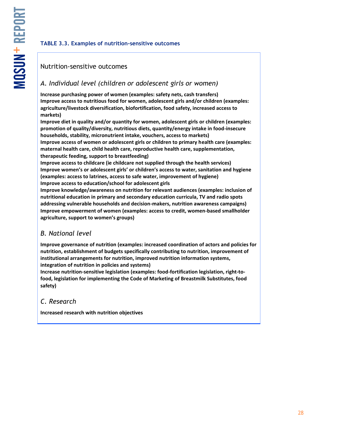### **TABLE 3.3. Examples of nutrition-sensitive outcomes**

### Nutrition-sensitive outcomes

### *A. Individual level (children or adolescent girls or women)*

**Increase purchasing power of women (examples: safety nets, cash transfers) Improve access to nutritious food for women, adolescent girls and/or children (examples: agriculture/livestock diversification, biofortification, food safety, increased access to markets)** 

**Improve diet in quality and/or quantity for women, adolescent girls or children (examples: promotion of quality/diversity, nutritious diets, quantity/energy intake in food-insecure households, stability, micronutrient intake, vouchers, access to markets)**

**Improve access of women or adolescent girls or children to primary health care (examples: maternal health care, child health care, reproductive health care, supplementation, therapeutic feeding, support to breastfeeding)**

**Improve access to childcare (ie childcare not supplied through the health services) Improve women's or adolescent girls' or children's access to water, sanitation and hygiene (examples: access to latrines, access to safe water, improvement of hygiene) Improve access to education/school for adolescent girls**

**Improve knowledge/awareness on nutrition for relevant audiences (examples: inclusion of nutritional education in primary and secondary education curricula, TV and radio spots addressing vulnerable households and decision-makers, nutrition awareness campaigns) Improve empowerment of women (examples: access to credit, women-based smallholder agriculture, support to women's groups)**

### *B. National level*

**Improve governance of nutrition (examples: increased coordination of actors and policies for nutrition, establishment of budgets specifically contributing to nutrition, improvement of institutional arrangements for nutrition, improved nutrition information systems, integration of nutrition in policies and systems)**

**Increase nutrition-sensitive legislation (examples: food-fortification legislation, right-tofood, legislation for implementing the Code of Marketing of Breastmilk Substitutes, food safety)**

### *C. Research*

**Increased research with nutrition objectives**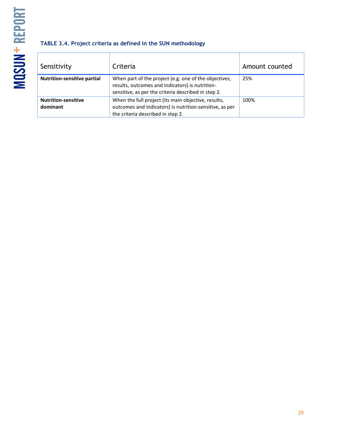### **TABLE 3.4. Project criteria as defined in the SUN methodology**

| Sensitivity                            | Criteria                                                                                                                                                        | Amount counted |
|----------------------------------------|-----------------------------------------------------------------------------------------------------------------------------------------------------------------|----------------|
| <b>Nutrition-sensitive partial</b>     | When part of the project (e.g. one of the objectives,<br>results, outcomes and indicators) is nutrition-<br>sensitive, as per the criteria described in step 2. | 25%            |
| <b>Nutrition-sensitive</b><br>dominant | When the full project (its main objective, results,<br>outcomes and indicators) is nutrition-sensitive, as per<br>the criteria described in step 2.             | 100%           |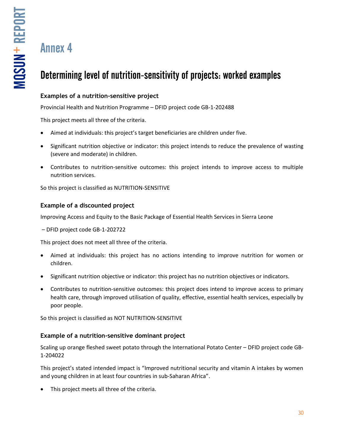# Determining level of nutrition-sensitivity of projects: worked examples

### **Examples of a nutrition-sensitive project**

Provincial Health and Nutrition Programme – DFID project code GB-1-202488

This project meets all three of the criteria.

- Aimed at individuals: this project's target beneficiaries are children under five.
- Significant nutrition objective or indicator: this project intends to reduce the prevalence of wasting (severe and moderate) in children.
- Contributes to nutrition-sensitive outcomes: this project intends to improve access to multiple nutrition services.

So this project is classified as NUTRITION-SENSITIVE

### **Example of a discounted project**

Improving Access and Equity to the Basic Package of Essential Health Services in Sierra Leone

– DFID project code GB-1-202722

This project does not meet all three of the criteria.

- Aimed at individuals: this project has no actions intending to improve nutrition for women or children.
- Significant nutrition objective or indicator: this project has no nutrition objectives or indicators.
- Contributes to nutrition-sensitive outcomes: this project does intend to improve access to primary health care, through improved utilisation of quality, effective, essential health services, especially by poor people.

So this project is classified as NOT NUTRITION-SENSITIVE

### **Example of a nutrition-sensitive dominant project**

Scaling up orange fleshed sweet potato through the International Potato Center – DFID project code GB-1-204022

This project's stated intended impact is "Improved nutritional security and vitamin A intakes by women and young children in at least four countries in sub-Saharan Africa".

This project meets all three of the criteria.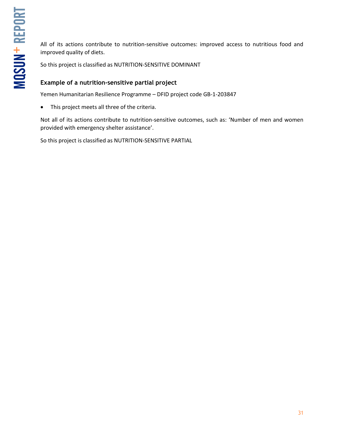All of its actions contribute to nutrition-sensitive outcomes: improved access to nutritious food and improved quality of diets.

So this project is classified as NUTRITION-SENSITIVE DOMINANT

### **Example of a nutrition-sensitive partial project**

Yemen Humanitarian Resilience Programme – DFID project code GB-1-203847

• This project meets all three of the criteria.

Not all of its actions contribute to nutrition-sensitive outcomes, such as: 'Number of men and women provided with emergency shelter assistance'.

So this project is classified as NUTRITION-SENSITIVE PARTIAL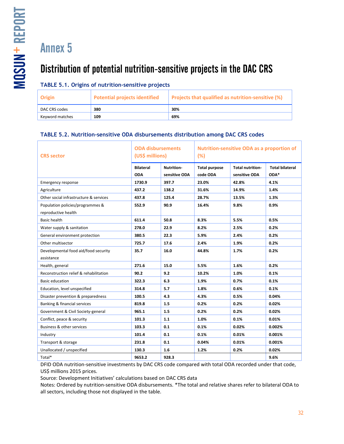# Distribution of potential nutrition-sensitive projects in the DAC CRS

### **TABLE 5.1. Origins of nutrition-sensitive projects**

| Origin          | Potential projects identified | Projects that qualified as nutrition-sensitive (%) |
|-----------------|-------------------------------|----------------------------------------------------|
| DAC CRS codes   | 380                           | 30%                                                |
| Keyword matches | 109                           | 69%                                                |

#### **TABLE 5.2. Nutrition-sensitive ODA disbursements distribution among DAC CRS codes**

| <b>CRS</b> sector                      | <b>ODA disbursements</b><br>(US\$ millions) |                  | <b>Nutrition-sensitive ODA as a proportion of</b><br>(%) |                         |                        |
|----------------------------------------|---------------------------------------------|------------------|----------------------------------------------------------|-------------------------|------------------------|
|                                        | <b>Bilateral</b>                            | <b>Nutrition</b> | <b>Total purpose</b>                                     | <b>Total nutrition-</b> | <b>Total bilateral</b> |
|                                        | <b>ODA</b>                                  | sensitive ODA    | code ODA                                                 | sensitive ODA           | $ODA*$                 |
| <b>Emergency response</b>              | 1730.9                                      | 397.7            | 23.0%                                                    | 42.8%                   | 4.1%                   |
| Agriculture                            | 437.2                                       | 138.2            | 31.6%                                                    | 14.9%                   | 1.4%                   |
| Other social infrastructure & services | 437.8                                       | 125.4            | 28.7%                                                    | 13.5%                   | 1.3%                   |
| Population policies/programmes &       | 552.9                                       | 90.9             | 16.4%                                                    | 9.8%                    | 0.9%                   |
| reproductive health                    |                                             |                  |                                                          |                         |                        |
| <b>Basic health</b>                    | 611.4                                       | 50.8             | 8.3%                                                     | 5.5%                    | 0.5%                   |
| Water supply & sanitation              | 278.0                                       | 22.9             | 8.2%                                                     | 2.5%                    | 0.2%                   |
| General environment protection         | 380.5                                       | 22.3             | 5.9%                                                     | 2.4%                    | 0.2%                   |
| Other multisector                      | 725.7                                       | 17.6             | 2.4%                                                     | 1.9%                    | 0.2%                   |
| Developmental food aid/food security   | 35.7                                        | 16.0             | 44.8%                                                    | 1.7%                    | 0.2%                   |
| assistance                             |                                             |                  |                                                          |                         |                        |
| Health, general                        | 271.6                                       | 15.0             | 5.5%                                                     | 1.6%                    | 0.2%                   |
| Reconstruction relief & rehabilitation | 90.2                                        | 9.2              | 10.2%                                                    | 1.0%                    | 0.1%                   |
| <b>Basic education</b>                 | 322.3                                       | 6.3              | 1.9%                                                     | 0.7%                    | 0.1%                   |
| Education, level unspecified           | 314.8                                       | 5.7              | 1.8%                                                     | 0.6%                    | 0.1%                   |
| Disaster prevention & preparedness     | 100.5                                       | 4.3              | 4.3%                                                     | 0.5%                    | 0.04%                  |
| Banking & financial services           | 819.8                                       | 1.5              | 0.2%                                                     | 0.2%                    | 0.02%                  |
| Government & Civil Society-general     | 965.1                                       | 1.5              | 0.2%                                                     | 0.2%                    | 0.02%                  |
| Conflict, peace & security             | 101.3                                       | 1.1              | 1.0%                                                     | 0.1%                    | 0.01%                  |
| Business & other services              | 103.3                                       | 0.1              | 0.1%                                                     | 0.02%                   | 0.002%                 |
| Industry                               | 101.4                                       | 0.1              | 0.1%                                                     | 0.01%                   | 0.001%                 |
| Transport & storage                    | 231.8                                       | 0.1              | 0.04%                                                    | 0.01%                   | 0.001%                 |
| Unallocated / unspecified              | 130.3                                       | 1.6              | 1.2%                                                     | 0.2%                    | 0.02%                  |
| Total*                                 | 9653.2                                      | 928.3            |                                                          |                         | 9.6%                   |

DFID ODA nutrition-sensitive investments by DAC CRS code compared with total ODA recorded under that code, US\$ millions 2015 prices.

Source: Development Initiatives' calculations based on DAC CRS data

Notes: Ordered by nutrition-sensitive ODA disbursements. \*The total and relative shares refer to bilateral ODA to all sectors, including those not displayed in the table.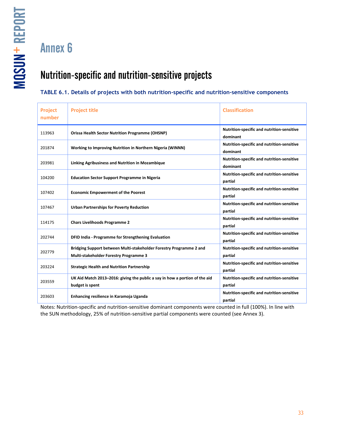MQSUN + REPORT -

Annex 6

### Nutrition-specific and nutrition-sensitive projects

### **TABLE 6.1. Details of projects with both nutrition-specific and nutrition-sensitive components**

| <b>Project</b><br>number | <b>Project title</b>                                                                                          | <b>Classification</b>                                  |
|--------------------------|---------------------------------------------------------------------------------------------------------------|--------------------------------------------------------|
| 113963                   | <b>Orissa Health Sector Nutrition Programme (OHSNP)</b>                                                       | Nutrition-specific and nutrition-sensitive<br>dominant |
| 201874                   | Working to Improving Nutrition in Northern Nigeria (WINNN)                                                    | Nutrition-specific and nutrition-sensitive<br>dominant |
| 203981                   | Linking Agribusiness and Nutrition in Mozambique                                                              | Nutrition-specific and nutrition-sensitive<br>dominant |
| 104200                   | <b>Education Sector Support Programme in Nigeria</b>                                                          | Nutrition-specific and nutrition-sensitive<br>partial  |
| 107402                   | <b>Economic Empowerment of the Poorest</b>                                                                    | Nutrition-specific and nutrition-sensitive<br>partial  |
| 107467                   | <b>Urban Partnerships for Poverty Reduction</b>                                                               | Nutrition-specific and nutrition-sensitive<br>partial  |
| 114175                   | <b>Chars Livelihoods Programme 2</b>                                                                          | Nutrition-specific and nutrition-sensitive<br>partial  |
| 202744                   | DFID India - Programme for Strengthening Evaluation                                                           | Nutrition-specific and nutrition-sensitive<br>partial  |
| 202779                   | Bridging Support between Multi-stakeholder Forestry Programme 2 and<br>Multi-stakeholder Forestry Programme 3 | Nutrition-specific and nutrition-sensitive<br>partial  |
| 203224                   | <b>Strategic Health and Nutrition Partnership</b>                                                             | Nutrition-specific and nutrition-sensitive<br>partial  |
| 203559                   | UK Aid Match 2013-2016: giving the public a say in how a portion of the aid<br>budget is spent                | Nutrition-specific and nutrition-sensitive<br>partial  |
| 203603                   | Enhancing resilience in Karamoja Uganda                                                                       | Nutrition-specific and nutrition-sensitive<br>partial  |

Notes: Nutrition-specific and nutrition-sensitive dominant components were counted in full (100%). In line with the SUN methodology, 25% of nutrition-sensitive partial components were counted (see Annex 3).